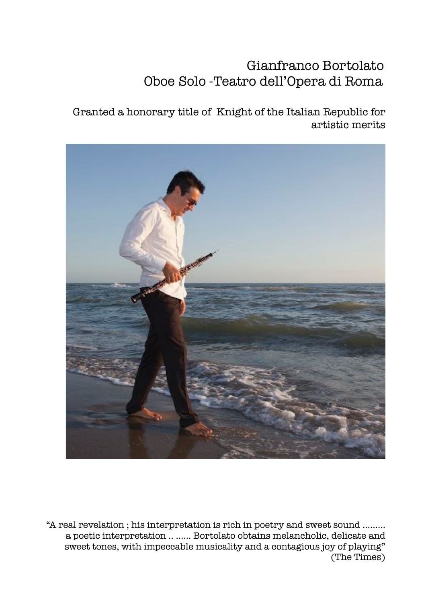# Gianfranco Bortolato Oboe Solo -Teatro dell'Opera di Roma

Granted a honorary title of Knight of the Italian Republic for artistic merits



"A real revelation ; his interpretation is rich in poetry and sweet sound ……… a poetic interpretation .. .….. Bortolato obtains melancholic, delicate and sweet tones, with impeccable musicality and a contagious joy of playing" (The Times)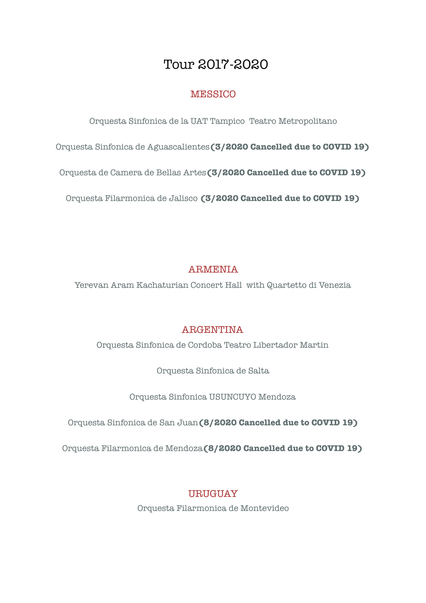# Tour 2017-2020

## **MESSICO**

Orquesta Sinfonica de la UAT Tampico Teatro Metropolitano

Orquesta Sinfonica de Aguascalientes**(3/2020 Cancelled due to COVID 19)**

Orquesta de Camera de Bellas Artes**(3/2020 Cancelled due to COVID 19)**

Orquesta Filarmonica de Jalisco **(3/2020 Cancelled due to COVID 19)**

## **ARMENIA**

Yerevan Aram Kachaturian Concert Hall with Quartetto di Venezia

## ARGENTINA

Orquesta Sinfonica de Cordoba Teatro Libertador Martin

Orquesta Sinfonica de Salta

Orquesta Sinfonica USUNCUYO Mendoza

Orquesta Sinfonica de San Juan**(8/2020 Cancelled due to COVID 19)** 

Orquesta Filarmonica de Mendoza**(8/2020 Cancelled due to COVID 19)**

# URUGUAY

Orquesta Filarmonica de Montevideo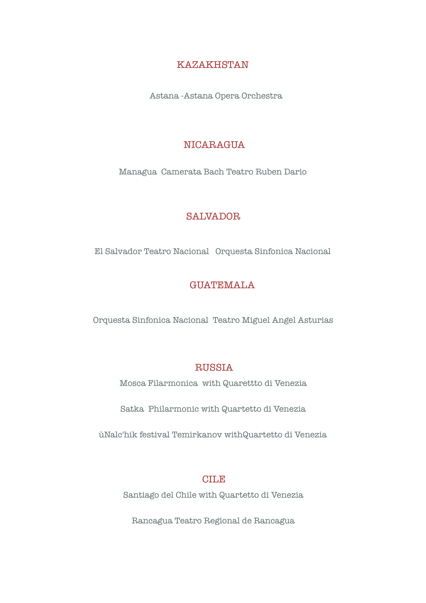#### KAZAKHSTAN

Astana -Astana Opera Orchestra

#### NICARAGUA

Managua Camerata Bach Teatro Ruben Dario

#### SALVADOR

El Salvador Teatro Nacional Orquesta Sinfonica Nacional

#### GUATEMALA

Orquesta Sinfonica Nacional Teatro Miguel Angel Asturias

#### RUSSIA

Mosca Filarmonica with Quarettto di Venezia

Satka Philarmonic with Quartetto di Venezia

ùNalc'hik festival Temirkanov withQuartetto di Venezia

#### CILE

Santiago del Chile with Quartetto di Venezia

Rancagua Teatro Regional de Rancagua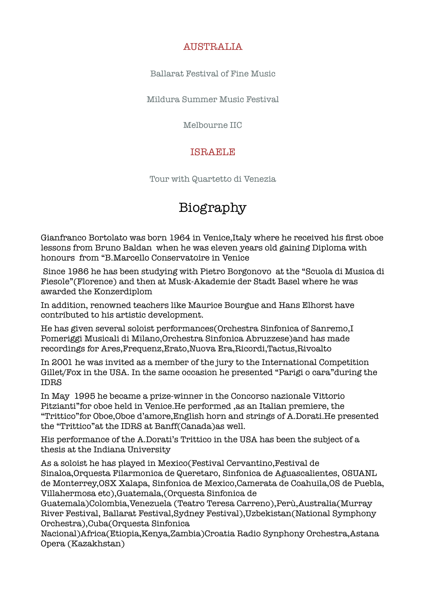## AIISTRALIA

Ballarat Festival of Fine Music

Mildura Summer Music Festival

Melbourne IIC

### ISRAELE

Tour with Quartetto di Venezia

# Biography

Gianfranco Bortolato was born 1964 in Venice,Italy where he received his first oboe lessons from Bruno Baldan when he was eleven years old gaining Diploma with honours from "B.Marcello Conservatoire in Venice

 Since 1986 he has been studying with Pietro Borgonovo at the "Scuola di Musica di Fiesole"(Florence) and then at Musk-Akademie der Stadt Basel where he was awarded the Konzerdiplom

In addition, renowned teachers like Maurice Bourgue and Hans Elhorst have contributed to his artistic development.

He has given several soloist performances(Orchestra Sinfonica of Sanremo,I Pomeriggi Musicali di Milano,Orchestra Sinfonica Abruzzese)and has made recordings for Ares,Frequenz,Erato,Nuova Era,Ricordi,Tactus,Rivoalto

In 2001 he was invited as a member of the jury to the International Competition Gillet/Fox in the USA. In the same occasion he presented "Parigi o cara"during the IDRS

In May 1995 he became a prize-winner in the Concorso nazionale Vittorio Pitzianti"for oboe held in Venice.He performed ,as an Italian premiere, the "Trittico"for Oboe,Oboe d'amore,English horn and strings of A.Dorati.He presented the "Trittico"at the IDRS at Banff(Canada)as well.

His performance of the A.Dorati's Trittico in the USA has been the subject of a thesis at the Indiana University

As a soloist he has played in Mexico(Festival Cervantino,Festival de Sinaloa,Orquesta Filarmonica de Queretaro, Sinfonica de Aguascalientes, OSUANL de Monterrey,OSX Xalapa, Sinfonica de Mexico,Camerata de Coahuila,OS de Puebla, Villahermosa etc),Guatemala,(Orquesta Sinfonica de

Guatemala)Colombia,Venezuela (Teatro Teresa Carreno),Perù,Australia(Murray River Festival, Ballarat Festival,Sydney Festival),Uzbekistan(National Symphony Orchestra),Cuba(Orquesta Sinfonica

Nacional)Africa(Etiopia,Kenya,Zambia)Croatia Radio Synphony Orchestra,Astana Opera (Kazakhstan)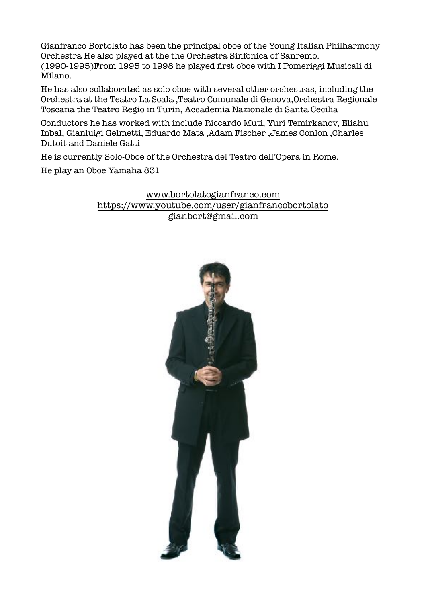Gianfranco Bortolato has been the principal oboe of the Young Italian Philharmony Orchestra He also played at the the Orchestra Sinfonica of Sanremo. (1990-1995)From 1995 to 1998 he played first oboe with I Pomeriggi Musicali di Milano.

He has also collaborated as solo oboe with several other orchestras, including the Orchestra at the Teatro La Scala ,Teatro Comunale di Genova,Orchestra Regionale Toscana the Teatro Regio in Turin, Accademia Nazionale di Santa Cecilia

Conductors he has worked with include Riccardo Muti, Yuri Temirkanov, Eliahu Inbal, Gianluigi Gelmetti, Eduardo Mata ,Adam Fischer ,James Conlon ,Charles Dutoit and Daniele Gatti

He is currently Solo-Oboe of the Orchestra del Teatro dell'Opera in Rome.

He play an Oboe Yamaha 831

[www.bortolatogianfranco.com](http://www.bortolatogianfranco.com) <https://www.youtube.com/user/gianfrancobortolato> gianbort@gmail.com